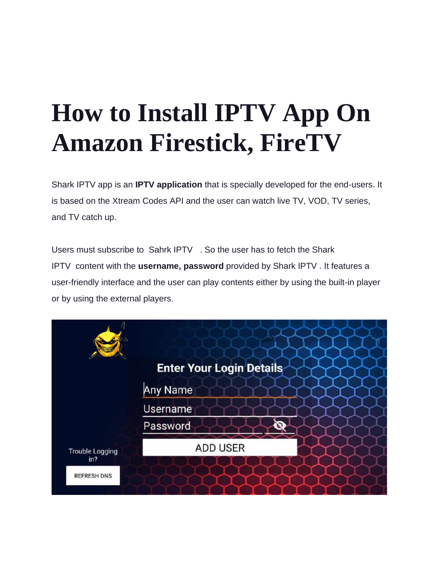# **How to Install IPTV App On Amazon Firestick, FireTV**

Shark IPTV app is an **IPTV application** that is specially developed for the end-users. It is based on the Xtream Codes API and the user can watch live TV, VOD, TV series, and TV catch up.

Users must subscribe to Sahrk IPTV [.](https://www.sharkiptv.tv/my-cobra-iptv-silver-pack/) So the user has to fetch the Shark IPTV content with the **username, password** provided by Shark IPTV . It features a user-friendly interface and the user can play contents either by using the built-in player or by using the external players.

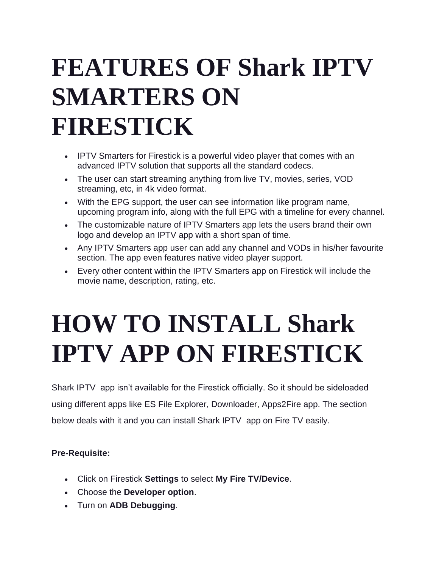### **FEATURES OF Shark IPTV SMARTERS ON FIRESTICK**

- IPTV Smarters for Firestick is a powerful video player that comes with an advanced IPTV solution that supports all the standard codecs.
- The user can start streaming anything from live TV, movies, series, VOD streaming, etc, in 4k video format.
- With the EPG support, the user can see information like program name, upcoming program info, along with the full EPG with a timeline for every channel.
- The customizable nature of IPTV Smarters app lets the users brand their own logo and develop an IPTV app with a short span of time.
- Any IPTV Smarters app user can add any channel and VODs in his/her favourite section. The app even features native video player support.
- Every other content within the IPTV Smarters app on Firestick will include the movie name, description, rating, etc.

## **HOW TO INSTALL Shark IPTV APP ON FIRESTICK**

Shark IPTV app isn't available for the Firestick officially. So it should be sideloaded using different apps like ES File Explorer, Downloader, Apps2Fire app. The section below deals with it and you can install Shark IPTV app on Fire TV easily.

#### **Pre-Requisite:**

- Click on Firestick **Settings** to select **My Fire TV/Device**.
- Choose the **Developer option**.
- Turn on **ADB Debugging**.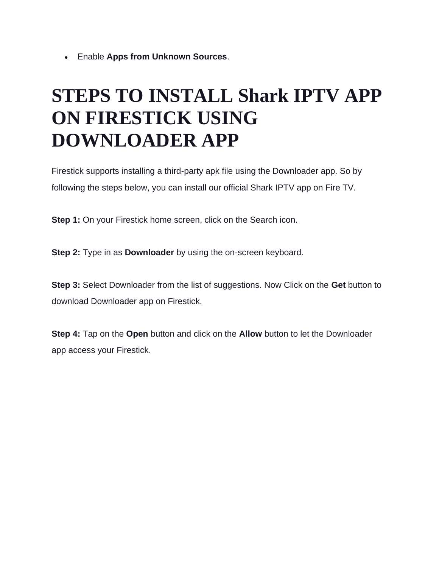• Enable **Apps from Unknown Sources**.

#### **STEPS TO INSTALL Shark IPTV APP ON FIRESTICK USING DOWNLOADER APP**

Firestick supports installing a third-party apk file using the Downloader app. So by following the steps below, you can install our official Shark IPTV app on Fire TV.

**Step 1:** On your Firestick home screen, click on the Search icon.

**Step 2:** Type in as **Downloader** by using the on-screen keyboard.

**Step 3:** Select Downloader from the list of suggestions. Now Click on the **Get** button to download Downloader app on Firestick.

**Step 4:** Tap on the **Open** button and click on the **Allow** button to let the Downloader app access your Firestick.